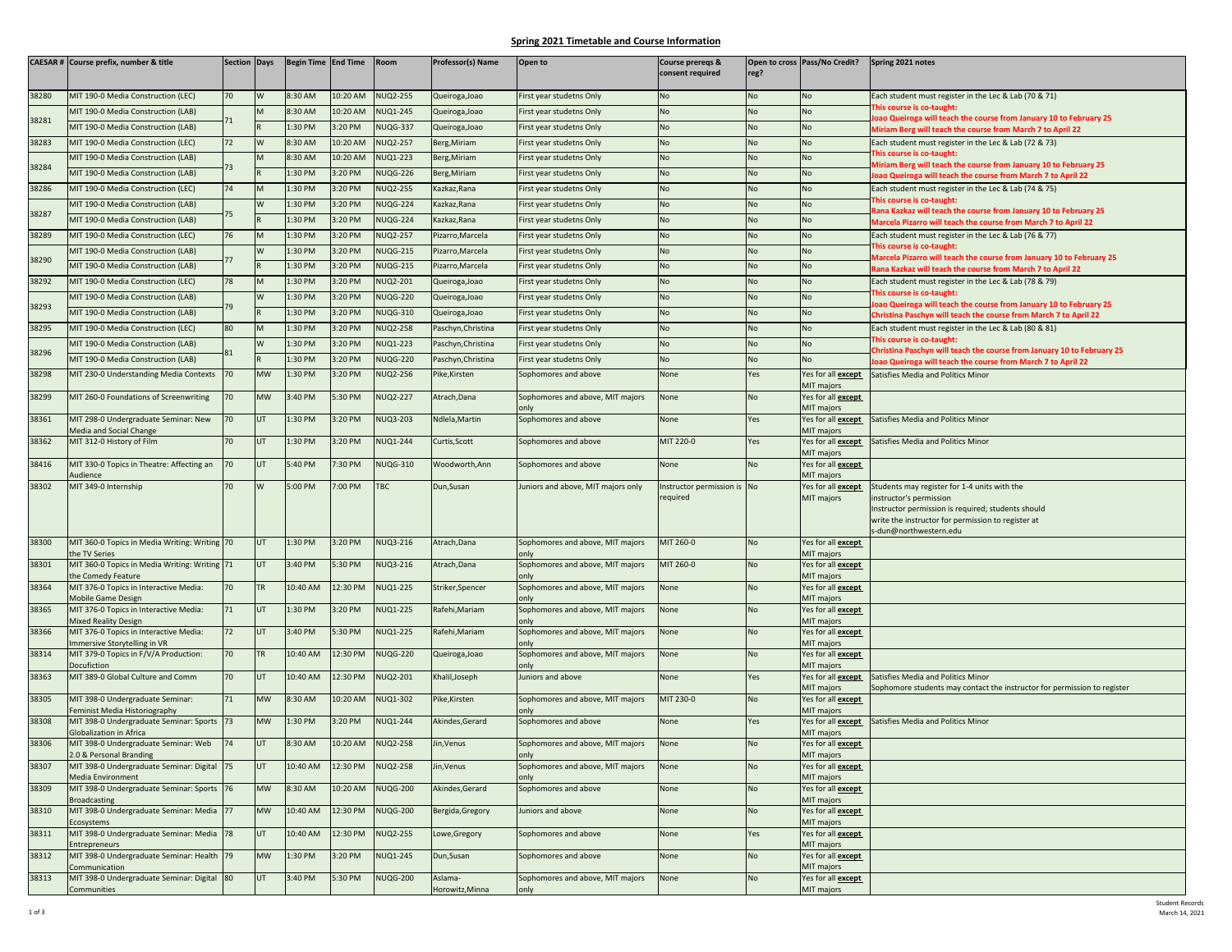## **Spring 2021 Timetable and Course Information**

|       | CAESAR # Course prefix, number & title                                 | <b>Section Days</b> |            | Begin Time End Time |          | Room            | <b>Professor(s) Name</b>   | Open to                                  | Course preregs &<br>consent required   | reg? | Open to cross Pass/No Credit?           | Spring 2021 notes                                                                                                                                                                                             |
|-------|------------------------------------------------------------------------|---------------------|------------|---------------------|----------|-----------------|----------------------------|------------------------------------------|----------------------------------------|------|-----------------------------------------|---------------------------------------------------------------------------------------------------------------------------------------------------------------------------------------------------------------|
| 38280 | MIT 190-0 Media Construction (LEC)                                     | 70                  | W          | 8:30 AM             | 10:20 AM | NUQ2-255        | Queiroga, Joao             | First year studetns Only                 | No                                     | No   | No                                      | Each student must register in the Lec & Lab (70 & 71)                                                                                                                                                         |
|       |                                                                        |                     |            | 8:30 AM             |          | <b>NUQ1-245</b> |                            |                                          | No                                     |      |                                         | This course is co-taught:                                                                                                                                                                                     |
| 38281 | MIT 190-0 Media Construction (LAB)                                     | $^{\prime}1$        |            |                     | 10:20 AM |                 | Queiroga, Joao             | First year studetns Only                 |                                        | No   | No                                      | oao Queiroga will teach the course from January 10 to February 25                                                                                                                                             |
|       | MIT 190-0 Media Construction (LAB)                                     |                     |            | 1:30 PM             | 3:20 PM  | <b>NUQG-337</b> | Queiroga, Joao             | irst year studetns Only                  | No                                     | No   | No                                      | Miriam Berg will teach the course from March 7 to April 22                                                                                                                                                    |
| 38283 | MIT 190-0 Media Construction (LEC)                                     | 72                  | W          | 8:30 AM             | 10:20 AM | <b>NUQ2-257</b> | Berg, Miriam               | First year studetns Only                 | No                                     | No   | No                                      | Each student must register in the Lec & Lab (72 & 73)<br>This course is co-taught:                                                                                                                            |
| 38284 | MIT 190-0 Media Construction (LAB)                                     | 73                  |            | 8:30 AM             | 10:20 AM | <b>NUQ1-223</b> | Berg, Miriam               | First year studetns Only                 | No                                     | No   | No                                      | Miriam Berg will teach the course from January 10 to February 25                                                                                                                                              |
|       | MIT 190-0 Media Construction (LAB)                                     |                     |            | 1:30 PM             | 3:20 PM  | <b>NUQG-226</b> | Berg, Miriam               | First year studetns Only                 | No                                     | No   | No                                      | Joao Queiroga will teach the course from March 7 to April 22                                                                                                                                                  |
| 38286 | MIT 190-0 Media Construction (LEC)                                     | 74                  |            | :30 PM              | 3:20 PM  | NUQ2-255        | Kazkaz, Rana               | First year studetns Only                 | No                                     | No   | No                                      | Each student must register in the Lec & Lab (74 & 75)                                                                                                                                                         |
|       | MIT 190-0 Media Construction (LAB)                                     |                     | W          | 1:30 PM             | 3:20 PM  | <b>NUQG-224</b> | Kazkaz, Rana               | irst year studetns Only                  | No                                     | No   | No                                      | This course is co-taught:<br>Rana Kazkaz will teach the course from January 10 to February 25                                                                                                                 |
| 38287 | MIT 190-0 Media Construction (LAB)                                     | 75                  |            | :30 PM              | 3:20 PM  | <b>NUQG-224</b> | Kazkaz, Rana               | First year studetns Only                 | No                                     | No   | No                                      | Marcela Pizarro will teach the course from March 7 to April 22                                                                                                                                                |
| 38289 | MIT 190-0 Media Construction (LEC)                                     | 76                  |            | :30 PM              | 3:20 PM  | <b>NUQ2-257</b> | Pizarro, Marcela           | First year studetns Only                 | No                                     | No   | No                                      | Each student must register in the Lec & Lab (76 & 77)                                                                                                                                                         |
|       | MIT 190-0 Media Construction (LAB)                                     |                     | W          | 1:30 PM             | 3:20 PM  | <b>NUQG-215</b> | Pizarro, Marcela           | irst year studetns Only                  | No                                     | No   | No                                      | This course is co-taught:<br>Marcela Pizarro will teach the course from January 10 to February 25                                                                                                             |
| 38290 | MIT 190-0 Media Construction (LAB)                                     | 77                  |            | :30 PM              | 3:20 PM  | <b>NUQG-215</b> | Pizarro, Marcela           | irst year studetns Only                  | No                                     | No   | No                                      | Rana Kazkaz will teach the course from March 7 to April 22                                                                                                                                                    |
| 38292 | MIT 190-0 Media Construction (LEC)                                     | 78                  | M          | $1:30$ PM           | 3:20 PM  | NUQ2-201        | Queiroga, Joao             | First year studetns Only                 | No                                     | No   | No                                      | Each student must register in the Lec & Lab (78 & 79)                                                                                                                                                         |
|       | MIT 190-0 Media Construction (LAB)                                     |                     | W          | 1:30 PM             | 3:20 PM  | <b>NUQG-220</b> | Queiroga, Joao             | First year studetns Only                 | No                                     | No   | <b>No</b>                               | This course is co-taught:                                                                                                                                                                                     |
| 38293 | MIT 190-0 Media Construction (LAB)                                     | 79                  |            | 1:30 PM             | 3:20 PM  | <b>NUQG-310</b> | Queiroga, Joao             | First year studetns Only                 | No                                     | No   | No                                      | loao Queiroga will teach the course from January 10 to February 25<br>Christina Paschyn will teach the course from March 7 to April 22                                                                        |
| 38295 | MIT 190-0 Media Construction (LEC)                                     | 80                  | M          | 1:30 PM             | 3:20 PM  | <b>NUQ2-258</b> | Paschyn, Christina         | First year studetns Only                 | No                                     | No   | No                                      | Each student must register in the Lec & Lab (80 & 81)                                                                                                                                                         |
|       | MIT 190-0 Media Construction (LAB)                                     |                     | W          | 1:30 PM             | 3:20 PM  | <b>NUQ1-223</b> | Paschyn, Christina         | First year studetns Only                 | No                                     | No   | <b>No</b>                               | This course is co-taught:                                                                                                                                                                                     |
| 38296 | MIT 190-0 Media Construction (LAB)                                     |                     |            | :30 PM              | 3:20 PM  | <b>NUQG-220</b> | Paschyn, Christina         | irst year studetns Only                  | No                                     | No   | No                                      | Christina Paschyn will teach the course from January 10 to February 25                                                                                                                                        |
| 38298 | MIT 230-0 Understanding Media Contexts                                 | 70                  | <b>MW</b>  | 1:30 PM             | 3:20 PM  | NUQ2-256        | Pike, Kirsten              | Sophomores and above                     | None                                   | es   | Yes for all except                      | loao Queiroga will teach the course from March 7 to April 22<br>Satisfies Media and Politics Minor                                                                                                            |
|       |                                                                        |                     |            |                     |          |                 |                            |                                          |                                        |      | MIT majors                              |                                                                                                                                                                                                               |
| 38299 | MIT 260-0 Foundations of Screenwriting                                 | 70                  | <b>MW</b>  | 3:40 PM             | 5:30 PM  | <b>NUQ2-227</b> | Atrach, Dana               | Sophomores and above, MIT majors         | None                                   | No   | Yes for all except                      |                                                                                                                                                                                                               |
| 38361 | MIT 298-0 Undergraduate Seminar: New                                   | 70                  | UT         | 1:30 PM             | 3:20 PM  | <b>NUQ3-203</b> | Ndlela, Martin             | onlv<br>Sophomores and above             | None                                   | Yes  | MIT majors<br>Yes for all <b>except</b> | Satisfies Media and Politics Minor                                                                                                                                                                            |
|       | Media and Social Change                                                |                     |            |                     |          |                 |                            |                                          |                                        |      | MIT majors                              |                                                                                                                                                                                                               |
| 38362 | MIT 312-0 History of Film                                              | 70                  | UT         | 1:30 PM             | 3:20 PM  | <b>NUQ1-244</b> | Curtis, Scott              | Sophomores and above                     | MIT 220-0                              | Yes  | Yes for all <b>except</b><br>MIT majors | Satisfies Media and Politics Minor                                                                                                                                                                            |
| 38416 | MIT 330-0 Topics in Theatre: Affecting an<br>Audience                  | 70                  | UT         | 5:40 PM             | ':30 PM  | <b>NUQG-310</b> | Woodworth, Ann             | Sophomores and above                     | None                                   | No   | Yes for all <b>except</b><br>MIT majors |                                                                                                                                                                                                               |
| 38302 | MIT 349-0 Internship                                                   | 70                  | <b>W</b>   | 5:00 PM             | 7:00 PM  | <b>FBC</b>      | Dun, Susan                 | Juniors and above, MIT majors only       | nstructor permission is No<br>required |      | Yes for all <b>except</b><br>MIT majors | Students may register for 1-4 units with the<br>instructor's permission<br>Instructor permission is required; students should<br>write the instructor for permission to register at<br>s-dun@northwestern.edu |
| 38300 | MIT 360-0 Topics in Media Writing: Writing 70<br>the TV Series         |                     | <b>UT</b>  | 1:30 PM             | 3:20 PM  | <b>NUQ3-216</b> | Atrach, Dana               | Sophomores and above, MIT majors         | MIT 260-0                              | No   | Yes for all <b>except</b><br>MIT majors |                                                                                                                                                                                                               |
| 38301 | MIT 360-0 Topics in Media Writing: Writing 71<br>the Comedy Feature    |                     | UT         | 3:40 PM             | 5:30 PM  | <b>NUQ3-216</b> | Atrach, Dana               | Sophomores and above, MIT majors<br>onlv | MIT 260-0                              | No   | Yes for all except<br>MIT majors        |                                                                                                                                                                                                               |
| 38364 | MIT 376-0 Topics in Interactive Media:<br><b>Mobile Game Design</b>    | 70                  | <b>TR</b>  | 0:40 AM             | 12:30 PM | <b>NUQ1-225</b> | Striker, Spencer           | Sophomores and above, MIT majors<br>only | None                                   | No   | Yes for all <b>except</b><br>MIT majors |                                                                                                                                                                                                               |
| 38365 | MIT 376-0 Topics in Interactive Media:                                 | 71                  | UT         | 1:30 PM             | 3:20 PM  | NUQ1-225        | Rafehi, Mariam             | Sophomores and above, MIT majors         | None                                   | No   | Yes for all <b>except</b>               |                                                                                                                                                                                                               |
| 38366 | <b>Mixed Reality Design</b><br>MIT 376-0 Topics in Interactive Media:  | 72                  | <b>IIT</b> | 3:40 PM             | 5:30 PM  | <b>NUQ1-225</b> | Rafehi, Mariam             | Sophomores and above, MIT majors         | None                                   | No   | MIT majors<br>Yes for all <b>except</b> |                                                                                                                                                                                                               |
|       | Immersive Storytelling in VR                                           |                     |            |                     |          |                 |                            | onlv                                     |                                        |      | MIT majors                              |                                                                                                                                                                                                               |
| 38314 | MIT 379-0 Topics in F/V/A Production:                                  | 70                  | <b>TR</b>  | 10:40 AM            | 12:30 PM | <b>NUQG-220</b> | Queiroga, Joao             | Sophomores and above, MIT majors         | None                                   | No   | Yes for all <b>except</b>               |                                                                                                                                                                                                               |
| 38363 | Docufiction<br>MIT 389-0 Global Culture and Comm                       | 70                  | UT         | 0:40 AM             | 12:30 PM | <b>NUQ2-201</b> | Khalil, Joseph             | only<br>luniors and above                | None                                   | Yes  | <b>MIT majors</b><br>Yes for all except | Satisfies Media and Politics Minor                                                                                                                                                                            |
|       |                                                                        |                     |            |                     |          |                 |                            |                                          |                                        |      | MIT majors                              | Sophomore students may contact the instructor for permission to register                                                                                                                                      |
| 38305 | MIT 398-0 Undergraduate Seminar:<br>Feminist Media Historiography      | 71                  | <b>MW</b>  | 3:30 AM             | 10:20 AM | <b>NUQ1-302</b> | Pike,Kirsten               | Sophomores and above, MIT majors         | MIT 230-0                              | No   | Yes for all <b>except</b>               |                                                                                                                                                                                                               |
| 38308 | MIT 398-0 Undergraduate Seminar: Sports 73                             |                     | <b>MW</b>  | 1:30 PM             | 3:20 PM  | NUQ1-244        | Akindes.Gerard             | only<br>Sophomores and above             | None                                   | res  | MIT majors<br>Yes for all <b>except</b> | Satisfies Media and Politics Minor                                                                                                                                                                            |
| 38306 | <b>Globalization in Africa</b><br>MIT 398-0 Undergraduate Seminar: Web | 74                  | UT         | 8:30 AM             | 10:20 AM | <b>NUQ2-258</b> | Jin, Venus                 | Sophomores and above, MIT majors         | None                                   | No   | MIT majors<br>Yes for all <b>except</b> |                                                                                                                                                                                                               |
|       | 2.0 & Personal Branding                                                |                     |            |                     |          |                 |                            | only                                     |                                        |      | MIT majors                              |                                                                                                                                                                                                               |
| 38307 | MIT 398-0 Undergraduate Seminar: Digital<br><b>Media Environment</b>   | 75                  | <b>UT</b>  | 10:40 AM            | 12:30 PM | <b>NUQ2-258</b> | Jin, Venus                 | Sophomores and above, MIT majors         | None                                   | No   | Yes for all <b>except</b><br>MIT majors |                                                                                                                                                                                                               |
| 38309 | MIT 398-0 Undergraduate Seminar: Sports 76<br><b>Broadcasting</b>      |                     | <b>MW</b>  | 8:30 AM             | 10:20 AM | <b>NUQG-200</b> | Akindes, Gerard            | Sophomores and above                     | None                                   | No   | Yes for all except<br>MIT majors        |                                                                                                                                                                                                               |
| 38310 | MIT 398-0 Undergraduate Seminar: Media 77<br>Ecosystems                |                     | <b>MW</b>  | 0:40 AM             | 12:30 PM | <b>NUQG-200</b> | Bergida, Gregory           | luniors and above                        | None                                   | No   | Yes for all <b>except</b><br>MIT majors |                                                                                                                                                                                                               |
| 38311 | MIT 398-0 Undergraduate Seminar: Media<br><b>Entrepreneurs</b>         | 78                  | UT         | 10:40 AM            | 12:30 PM | NUQ2-255        | Lowe, Gregory              | Sophomores and above                     | None                                   | Yes  | Yes for all <b>except</b><br>MIT majors |                                                                                                                                                                                                               |
| 38312 | MIT 398-0 Undergraduate Seminar: Health 79<br>Communication            |                     | <b>MW</b>  | :30 PM              | 3:20 PM  | NUQ1-245        | Dun, Susan                 | Sophomores and above                     | None                                   | No   | Yes for all except<br>MIT majors        |                                                                                                                                                                                                               |
| 38313 | MIT 398-0 Undergraduate Seminar: Digital 80<br>Communities             |                     | <b>UT</b>  | 3:40 PM             | 5:30 PM  | <b>NUQG-200</b> | Aslama-<br>Horowitz, Minna | Sophomores and above, MIT majors         | None                                   | No   | Yes for all <b>except</b><br>MIT majors |                                                                                                                                                                                                               |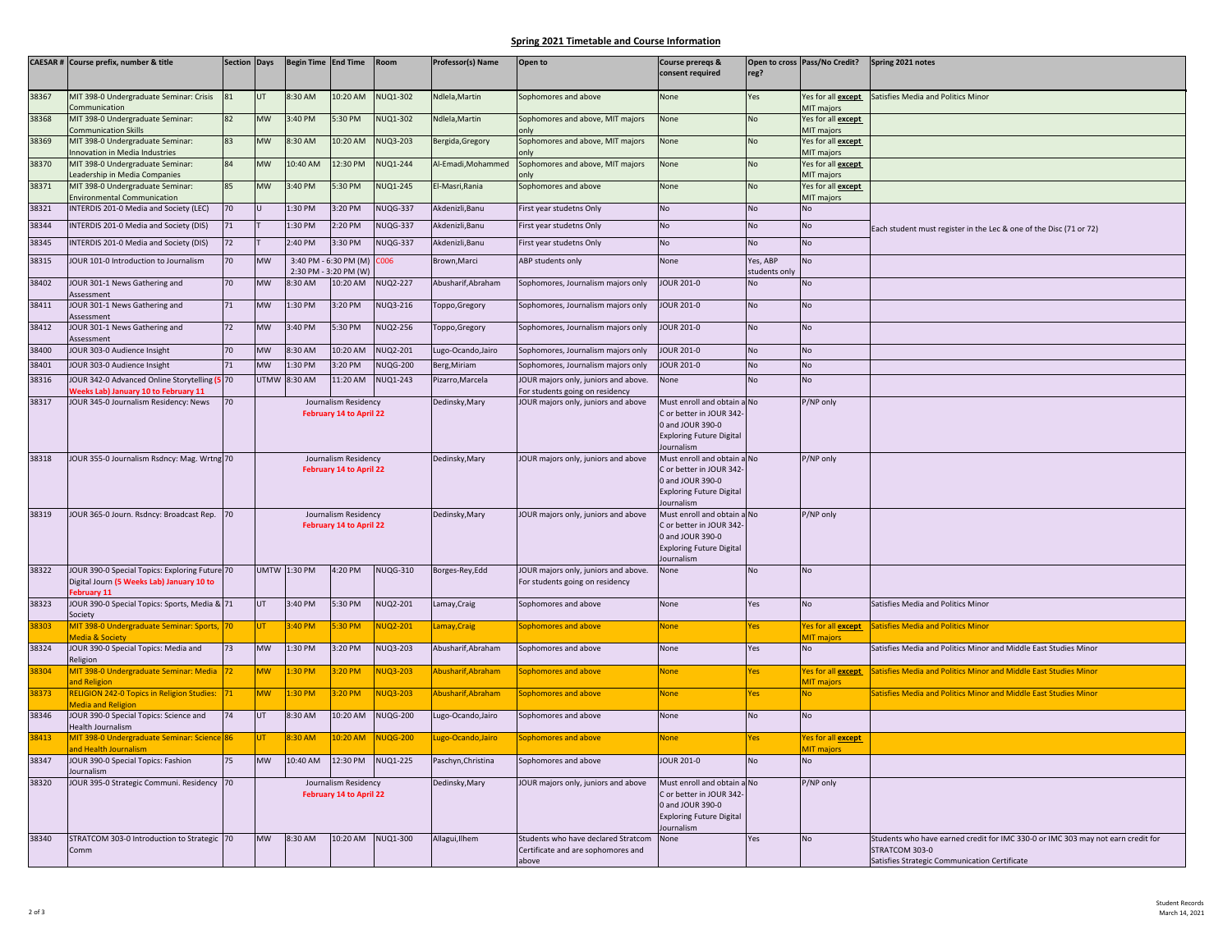## **Spring 2021 Timetable and Course Information**

|       | CAESAR # Course prefix, number & title                                                   | Section Days |                      | Begin Time End Time |                                                        | Room            | Professor(s) Name  | Open to                                                                 | <b>Course prereqs &amp;</b>                            |                            | Open to cross Pass/No Credit?           | Spring 2021 notes                                                                |
|-------|------------------------------------------------------------------------------------------|--------------|----------------------|---------------------|--------------------------------------------------------|-----------------|--------------------|-------------------------------------------------------------------------|--------------------------------------------------------|----------------------------|-----------------------------------------|----------------------------------------------------------------------------------|
|       |                                                                                          |              |                      |                     |                                                        |                 |                    |                                                                         | consent required                                       | reg?                       |                                         |                                                                                  |
| 38367 | MIT 398-0 Undergraduate Seminar: Crisis<br>Communication                                 | 81           | UT                   | 8:30 AM             | 10:20 AM                                               | <b>NUQ1-302</b> | Ndlela, Martin     | Sophomores and above                                                    | None                                                   | Yes                        | Yes for all <b>except</b><br>MIT majors | Satisfies Media and Politics Minor                                               |
| 38368 | MIT 398-0 Undergraduate Seminar:<br><b>Communication Skills</b>                          | 82           | <b>MW</b>            | 3:40 PM             | 5:30 PM                                                | <b>NUQ1-302</b> | Ndlela, Martin     | Sophomores and above, MIT majors                                        | None                                                   | No                         | Yes for all <b>except</b><br>MIT majors |                                                                                  |
| 38369 | MIT 398-0 Undergraduate Seminar:<br>nnovation in Media Industries                        | 83           | <b>MW</b>            | 8:30 AM             | 10:20 AM                                               | <b>NUQ3-203</b> | Bergida, Gregory   | Sophomores and above, MIT majors                                        | None                                                   | No                         | Yes for all <b>except</b><br>MIT majors |                                                                                  |
| 38370 | MIT 398-0 Undergraduate Seminar:<br>Leadership in Media Companies                        | 84           | <b>MW</b>            | 10:40 AM            | 12:30 PM                                               | <b>NUQ1-244</b> | Al-Emadi, Mohammed | Sophomores and above, MIT majors                                        | None                                                   | <b>No</b>                  | Yes for all except<br>MIT majors        |                                                                                  |
| 38371 | MIT 398-0 Undergraduate Seminar:                                                         | 85           | <b>MW</b>            | 3:40 PM             | 5:30 PM                                                | NUQ1-245        | El-Masri, Rania    | Sophomores and above                                                    | None                                                   | N <sub>0</sub>             | Yes for all <b>except</b>               |                                                                                  |
| 38321 | <b>Invironmental Communication</b><br>INTERDIS 201-0 Media and Society (LEC)             | 70           |                      | 1:30 PM             | 3:20 PM                                                | NUQG-337        | Akdenizli, Banu    | First year studetns Only                                                | No                                                     | <b>No</b>                  | MIT majors<br>No                        |                                                                                  |
| 38344 | INTERDIS 201-0 Media and Society (DIS)                                                   | 71           |                      | 1:30 PM             | 2:20 PM                                                | NUQG-337        | Akdenizli, Banu    | First year studetns Only                                                | No                                                     | <b>No</b>                  | No                                      | Each student must register in the Lec & one of the Disc (71 or 72)               |
| 38345 | INTERDIS 201-0 Media and Society (DIS)                                                   | 72           |                      | 2:40 PM             | 3:30 PM                                                | <b>NUQG-337</b> | Akdenizli, Banu    | First year studetns Only                                                | No                                                     | <b>No</b>                  | No                                      |                                                                                  |
| 38315 | <b>JOUR 101-0 Introduction to Journalism</b>                                             | 70           | MW                   |                     | 3:40 PM - 6:30 PM (M)                                  | )06             | Brown, Marci       | ABP students only                                                       | None                                                   | res, ABP                   | No                                      |                                                                                  |
| 38402 | <b>JOUR 301-1 News Gathering and</b>                                                     | 70           | <b>MW</b>            | 8:30 AM             | 2:30 PM - 3:20 PM (W)<br>10:20 AM                      | NUQ2-227        | Abusharif, Abraham | Sophomores, Journalism majors only                                      | <b>JOUR 201-0</b>                                      | students only<br><b>No</b> | No                                      |                                                                                  |
|       | Assessment                                                                               |              |                      |                     |                                                        |                 |                    |                                                                         |                                                        |                            |                                         |                                                                                  |
| 38411 | JOUR 301-1 News Gathering and<br>Assessment                                              | 71           | <b>MW</b>            | 1:30 PM             | 3:20 PM                                                | NUQ3-216        | Toppo, Gregory     | Sophomores, Journalism majors only                                      | <b>JOUR 201-0</b>                                      | <b>No</b>                  | No                                      |                                                                                  |
| 38412 | JOUR 301-1 News Gathering and<br><b>Assessment</b>                                       | 72           | <b>MW</b>            | 3:40 PM             | 5:30 PM                                                | <b>NUQ2-256</b> | Toppo,Gregory      | Sophomores, Journalism majors only                                      | <b>JOUR 201-0</b>                                      | <b>No</b>                  | <b>No</b>                               |                                                                                  |
| 38400 | JOUR 303-0 Audience Insight                                                              | 70           | MW                   | 8:30 AM             | 10:20 AM                                               | <b>NUQ2-201</b> | ugo-Ocando, Jairo  | Sophomores, Journalism majors only                                      | <b>JOUR 201-0</b>                                      | <b>No</b>                  | No                                      |                                                                                  |
| 38401 | JOUR 303-0 Audience Insight                                                              | 71           | <b>MW</b>            | $1:30$ PM           | $3:20$ PM                                              | <b>NUQG-200</b> | Berg, Miriam       | Sophomores, Journalism majors only                                      | <b>JOUR 201-0</b>                                      | N <sub>0</sub>             | <b>No</b>                               |                                                                                  |
| 38316 | <b>JOUR 342-0 Advanced Online Storytelling (</b><br>Veeks Lab) January 10 to February 11 | 70           | UTMW                 | 8:30 AM             | 11:20 AM                                               | NUQ1-243        | Pizarro, Marcela   | JOUR majors only, juniors and above.<br>For students going on residency | None                                                   | <b>No</b>                  | No                                      |                                                                                  |
| 38317 | <b>JOUR 345-0 Journalism Residency: News</b>                                             | 70           |                      |                     | Journalism Residency                                   |                 | Dedinsky, Mary     | JOUR majors only, juniors and above                                     | Must enroll and obtain a No                            |                            | P/NP only                               |                                                                                  |
|       |                                                                                          |              |                      |                     | February 14 to April 22                                |                 |                    |                                                                         | C or better in JOUR 342<br>0 and JOUR 390-0            |                            |                                         |                                                                                  |
|       |                                                                                          |              |                      |                     |                                                        |                 |                    |                                                                         | <b>Exploring Future Digital</b>                        |                            |                                         |                                                                                  |
| 38318 | JOUR 355-0 Journalism Rsdncy: Mag. Wrtng 70                                              |              |                      |                     | Journalism Residency                                   |                 | Dedinsky, Mary     | JOUR majors only, juniors and above                                     | lournalism<br>Must enroll and obtain a No              |                            | P/NP only                               |                                                                                  |
|       |                                                                                          |              |                      |                     | February 14 to April 22                                |                 |                    |                                                                         | C or better in JOUR 342                                |                            |                                         |                                                                                  |
|       |                                                                                          |              |                      |                     |                                                        |                 |                    |                                                                         | 0 and JOUR 390-0<br><b>Exploring Future Digital</b>    |                            |                                         |                                                                                  |
|       |                                                                                          |              |                      |                     |                                                        |                 |                    |                                                                         | <b>Journalism</b>                                      |                            |                                         |                                                                                  |
| 38319 | <b>JOUR 365-0 Journ. Rsdncy: Broadcast Rep.</b>                                          | 70           |                      |                     | Journalism Residency<br><b>February 14 to April 22</b> |                 | Dedinsky, Mary     | JOUR majors only, juniors and above                                     | Must enroll and obtain a No<br>C or better in JOUR 342 |                            | P/NP only                               |                                                                                  |
|       |                                                                                          |              |                      |                     |                                                        |                 |                    |                                                                         | 0 and JOUR 390-0                                       |                            |                                         |                                                                                  |
|       |                                                                                          |              |                      |                     |                                                        |                 |                    |                                                                         | <b>Exploring Future Digital</b><br>Journalism          |                            |                                         |                                                                                  |
| 38322 | <b>JOUR 390-0 Special Topics: Exploring Future 70</b>                                    |              |                      | <b>UMTW 1:30 PM</b> | 4:20 PM                                                | <b>NUQG-310</b> | Borges-Rey, Edd    | JOUR majors only, juniors and above.                                    | None                                                   | <b>No</b>                  | No                                      |                                                                                  |
|       | Digital Journ (5 Weeks Lab) January 10 to<br>ebruary 11                                  |              |                      |                     |                                                        |                 |                    | For students going on residency                                         |                                                        |                            |                                         |                                                                                  |
| 38323 | JOUR 390-0 Special Topics: Sports, Media & 71<br>iociety                                 |              | UT                   | 3:40 PM             | 5:30 PM                                                | NUQ2-201        | Lamay, Craig       | Sophomores and above                                                    | None                                                   | Yes                        | No                                      | Satisfies Media and Politics Minor                                               |
| 38303 | MIT 398-0 Undergraduate Seminar: Sports,                                                 | 70           | UT                   | 3:40 PM             | $30 P$ M                                               | NUQ2-201        | Lamay, Craig       | ophomores and above                                                     | None                                                   | es                         | Yes for all <b>except</b>               | <b>Satisfies Media and Politics Minor</b>                                        |
| 38324 | <b>Media &amp; Society</b><br>JOUR 390-0 Special Topics: Media and                       | 73           | <b>MW</b>            | 1:30 PM             | 3:20 PM                                                | NUQ3-203        | Abusharif, Abraham | Sophomores and above                                                    | None                                                   | Yes                        | <b>MIT</b> majors<br><b>No</b>          | Satisfies Media and Politics Minor and Middle East Studies Minor                 |
| 38304 | eligion<br>MIT 398-0 Undergraduate Seminar: Media                                        | 72           | WM                   | :30 PM              | $3:20$ PM                                              | <b>NUQ3-203</b> | Abusharif, Abraham | ophomores and above                                                     | None                                                   | es                         | Yes for all <b>except</b>               | Satisfies Media and Politics Minor and Middle East Studies Minor                 |
|       | <b>Ind Religion</b>                                                                      |              |                      |                     |                                                        |                 |                    |                                                                         |                                                        |                            | <b>MIT majors</b>                       |                                                                                  |
| 38373 | <b>RELIGION 242-0 Topics in Religion Studies:</b><br><b>Media and Religion</b>           | 71           | <b>MW</b>            | :30 PM              | $3:20$ PM                                              | NUQ3-203        | Abusharif, Abraham | Sophomores and above                                                    | <b>None</b>                                            | Yes                        | <b>No</b>                               | Satisfies Media and Politics Minor and Middle East Studies Minor                 |
| 38346 | <b>JOUR 390-0 Special Topics: Science and</b><br>Health Journalism                       | 74           | UT                   | 8:30 AM             | 10:20 AM                                               | <b>NUQG-200</b> | ugo-Ocando, Jairo  | Sophomores and above                                                    | None                                                   | No                         | No                                      |                                                                                  |
| 38413 | MIT 398-0 Undergraduate Seminar: Science 86<br>nd Health Journalism                      |              | JT.                  | <b>30 AM</b>        | $0:20$ AM                                              | <b>NUQG-200</b> | ugo-Ocando, Jairo  | ophomores and above                                                     | None                                                   | es                         | Yes for all <b>except</b><br>MIT major: |                                                                                  |
| 38347 | JOUR 390-0 Special Topics: Fashion<br>ournalism                                          | 75           | <b>MW</b>            | 10:40 AM            | 12:30 PM                                               | <b>NUQ1-225</b> | Paschyn, Christina | Sophomores and above                                                    | <b>JOUR 201-0</b>                                      | <b>No</b>                  | <b>No</b>                               |                                                                                  |
| 38320 | <b>JOUR 395-0 Strategic Communi. Residency</b>                                           | 70           | Journalism Residency |                     |                                                        |                 | Dedinsky, Mary     | JOUR majors only, juniors and above                                     | Must enroll and obtain a No                            |                            | P/NP only                               |                                                                                  |
|       |                                                                                          |              |                      |                     | <b>February 14 to April 22</b>                         |                 |                    |                                                                         | C or better in JOUR 342<br>0 and JOUR 390-0            |                            |                                         |                                                                                  |
|       |                                                                                          |              |                      |                     |                                                        |                 |                    |                                                                         | <b>Exploring Future Digital</b>                        |                            |                                         |                                                                                  |
| 38340 | STRATCOM 303-0 Introduction to Strategic 70                                              |              | <b>MW</b>            | 8:30 AM             | 10:20 AM                                               | NUQ1-300        | Allagui, Ilhem     | Students who have declared Stratcom                                     | ournalism<br>None                                      | Yes                        | No                                      | Students who have earned credit for IMC 330-0 or IMC 303 may not earn credit for |
|       | Comm                                                                                     |              |                      |                     |                                                        |                 |                    | Certificate and are sophomores and                                      |                                                        |                            |                                         | STRATCOM 303-0                                                                   |
|       |                                                                                          |              |                      |                     |                                                        |                 |                    | above                                                                   |                                                        |                            |                                         | Satisfies Strategic Communication Certificate                                    |